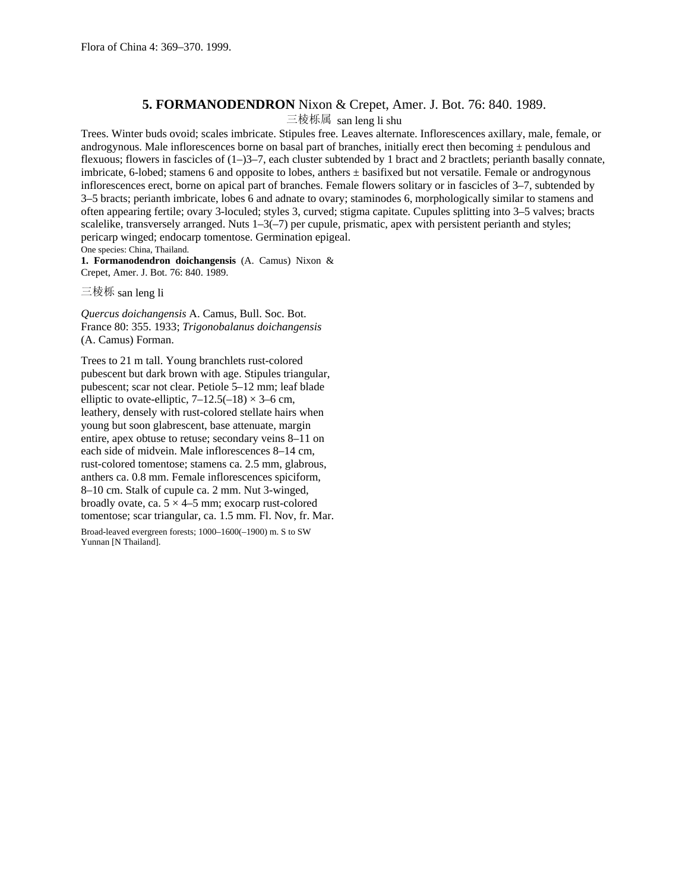## **5. FORMANODENDRON** Nixon & Crepet, Amer. J. Bot. 76: 840. 1989.

三棱栎属 san leng li shu

Trees. Winter buds ovoid; scales imbricate. Stipules free. Leaves alternate. Inflorescences axillary, male, female, or androgynous. Male inflorescences borne on basal part of branches, initially erect then becoming  $\pm$  pendulous and flexuous; flowers in fascicles of  $(1-)3-7$ , each cluster subtended by 1 bract and 2 bractlets; perianth basally connate, imbricate, 6-lobed; stamens 6 and opposite to lobes, anthers ± basifixed but not versatile. Female or androgynous inflorescences erect, borne on apical part of branches. Female flowers solitary or in fascicles of 3–7, subtended by 3–5 bracts; perianth imbricate, lobes 6 and adnate to ovary; staminodes 6, morphologically similar to stamens and often appearing fertile; ovary 3-loculed; styles 3, curved; stigma capitate. Cupules splitting into 3–5 valves; bracts scalelike, transversely arranged. Nuts  $1-3(-7)$  per cupule, prismatic, apex with persistent perianth and styles; pericarp winged; endocarp tomentose. Germination epigeal. One species: China, Thailand.

**1. Formanodendron doichangensis** (A. Camus) Nixon & Crepet, Amer. J. Bot. 76: 840. 1989.

三棱栎 san leng li

*Quercus doichangensis* A. Camus, Bull. Soc. Bot. France 80: 355. 1933; *Trigonobalanus doichangensis* (A. Camus) Forman.

Trees to 21 m tall. Young branchlets rust-colored pubescent but dark brown with age. Stipules triangular, pubescent; scar not clear. Petiole 5–12 mm; leaf blade elliptic to ovate-elliptic,  $7-12.5(-18) \times 3-6$  cm, leathery, densely with rust-colored stellate hairs when young but soon glabrescent, base attenuate, margin entire, apex obtuse to retuse; secondary veins 8–11 on each side of midvein. Male inflorescences 8–14 cm, rust-colored tomentose; stamens ca. 2.5 mm, glabrous, anthers ca. 0.8 mm. Female inflorescences spiciform, 8–10 cm. Stalk of cupule ca. 2 mm. Nut 3-winged, broadly ovate, ca.  $5 \times 4 - 5$  mm; exocarp rust-colored tomentose; scar triangular, ca. 1.5 mm. Fl. Nov, fr. Mar.

Broad-leaved evergreen forests; 1000–1600(–1900) m. S to SW Yunnan [N Thailand].